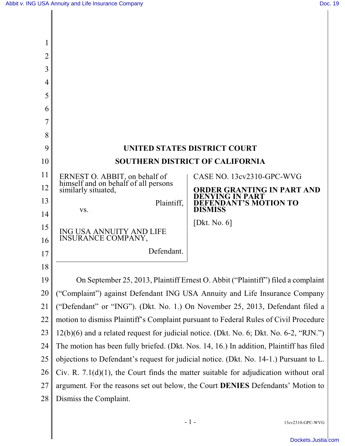| $\overline{2}$ |                                                                                         |                                                      |  |
|----------------|-----------------------------------------------------------------------------------------|------------------------------------------------------|--|
| 3              |                                                                                         |                                                      |  |
| 4              |                                                                                         |                                                      |  |
| 5              |                                                                                         |                                                      |  |
| 6              |                                                                                         |                                                      |  |
| 7              |                                                                                         |                                                      |  |
| 8              |                                                                                         |                                                      |  |
| 9              | <b>UNITED STATES DISTRICT COURT</b>                                                     |                                                      |  |
| 10             | <b>SOUTHERN DISTRICT OF CALIFORNIA</b>                                                  |                                                      |  |
| 11             | ERNEST O. ABBIT, on behalf of<br>himself and on behalf of all persons                   | CASE NO. 13cv2310-GPC-WVG                            |  |
| 12             | similarly situated,                                                                     | ORDER GRANTING IN PART AND<br><b>DENYING IN PART</b> |  |
| 13             | Plaintiff,                                                                              | <b>DEFENDANT'S MOTION TO</b><br><b>DISMISS</b>       |  |
| 14             | VS.                                                                                     |                                                      |  |
| 15             | ING USA ANNUITY AND LIFE                                                                | [Dkt. No. $6$ ]                                      |  |
| 16             | INSURANCE COMPANY,                                                                      |                                                      |  |
| 17             | Defendant.                                                                              |                                                      |  |
| 18             |                                                                                         |                                                      |  |
| 19             | On September 25, 2013, Plaintiff Ernest O. Abbit ("Plaintiff") filed a complaint        |                                                      |  |
| 20             | ("Complaint") against Defendant ING USA Annuity and Life Insurance Company              |                                                      |  |
| 21             | "Defendant" or "ING"). (Dkt. No. 1.) On November 25, 2013, Defendant filed a            |                                                      |  |
| 22             | motion to dismiss Plaintiff's Complaint pursuant to Federal Rules of Civil Procedure    |                                                      |  |
| 23             | 12(b)(6) and a related request for judicial notice. (Dkt. No. 6; Dkt. No. 6-2, "RJN.")  |                                                      |  |
| 24             | The motion has been fully briefed. (Dkt. Nos. 14, 16.) In addition, Plaintiff has filed |                                                      |  |
| 25             | objections to Defendant's request for judicial notice. (Dkt. No. 14-1.) Pursuant to L.  |                                                      |  |
| 26             | Civ. R. $7.1(d)(1)$ , the Court finds the matter suitable for adjudication without oral |                                                      |  |
| 27             | argument. For the reasons set out below, the Court <b>DENIES</b> Defendants' Motion to  |                                                      |  |
| 28             | Dismiss the Complaint.                                                                  |                                                      |  |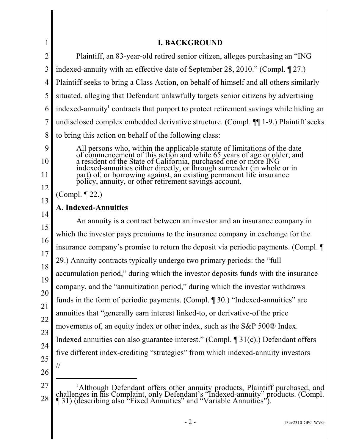| <b>I. BACKGROUND</b>                                                                         |                                                                                                                                                                                                          |  |
|----------------------------------------------------------------------------------------------|----------------------------------------------------------------------------------------------------------------------------------------------------------------------------------------------------------|--|
|                                                                                              | Plaintiff, an 83-year-old retired senior citizen, alleges purchasing an "ING                                                                                                                             |  |
|                                                                                              | indexed-annuity with an effective date of September 28, 2010." (Compl. ¶ 27.)                                                                                                                            |  |
|                                                                                              | Plaintiff seeks to bring a Class Action, on behalf of himself and all others similarly                                                                                                                   |  |
|                                                                                              | situated, alleging that Defendant unlawfully targets senior citizens by advertising                                                                                                                      |  |
|                                                                                              | indexed-annuity <sup>1</sup> contracts that purport to protect retirement savings while hiding an                                                                                                        |  |
|                                                                                              | undisclosed complex embedded derivative structure. (Compl. ¶¶ 1-9.) Plaintiff seeks                                                                                                                      |  |
|                                                                                              | to bring this action on behalf of the following class:                                                                                                                                                   |  |
|                                                                                              | All persons who, within the applicable statute of limitations of the date                                                                                                                                |  |
|                                                                                              | of commencement of this action and while 65 years of age or older, and<br>a resident of the State of California, purchased one or more ING                                                               |  |
|                                                                                              | indexed-annuities either directly, or through surrender (in whole or in<br>part) of, or borrowing against, an existing permanent life insurance<br>policy, annuity, or other retirement savings account. |  |
| 12<br>(Compl. $\P$ 22.)                                                                      |                                                                                                                                                                                                          |  |
| 13<br><b>A. Indexed-Annuities</b><br>14                                                      |                                                                                                                                                                                                          |  |
|                                                                                              | An annuity is a contract between an investor and an insurance company in                                                                                                                                 |  |
|                                                                                              | which the investor pays premiums to the insurance company in exchange for the                                                                                                                            |  |
| 16<br>insurance company's promise to return the deposit via periodic payments. (Compl.       |                                                                                                                                                                                                          |  |
| 17<br>29.) Annuity contracts typically undergo two primary periods: the "full"               |                                                                                                                                                                                                          |  |
| 18<br>accumulation period," during which the investor deposits funds with the insurance      |                                                                                                                                                                                                          |  |
| 19<br>company, and the "annuitization period," during which the investor withdraws<br>20     |                                                                                                                                                                                                          |  |
| funds in the form of periodic payments. (Compl. ¶ 30.) "Indexed-annuities" are               |                                                                                                                                                                                                          |  |
| annuities that "generally earn interest linked-to, or derivative-of the price<br>22          |                                                                                                                                                                                                          |  |
|                                                                                              | movements of, an equity index or other index, such as the S&P 500® Index.                                                                                                                                |  |
|                                                                                              | Indexed annuities can also guarantee interest." (Compl. $\P$ 31(c).) Defendant offers                                                                                                                    |  |
| 24<br>five different index-crediting "strategies" from which indexed-annuity investors<br>25 |                                                                                                                                                                                                          |  |
| //                                                                                           |                                                                                                                                                                                                          |  |
|                                                                                              | <sup>1</sup> Although Defendant offers other annuity products, Plaintiff purchased, and                                                                                                                  |  |

<sup>28</sup> challenges in his Complaint, only Defendant's "Indexed-annuity" products. (Compl. ¶ 31) (describing also "Fixed Annuities" and "Variable Annuities").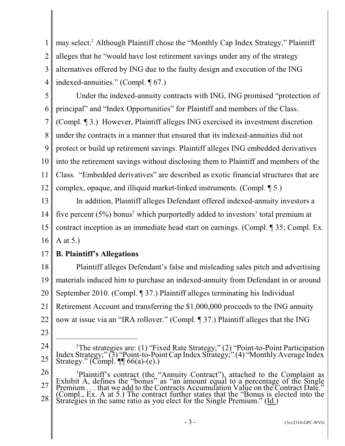1 2 3 4 may select.<sup>2</sup> Although Plaintiff chose the "Monthly Cap Index Strategy," Plaintiff alleges that he "would have lost retirement savings under any of the strategy alternatives offered by ING due to the faulty design and execution of the ING indexed-annuities." (Compl. ¶ 67.)

5 6 7 8 9 10 11 12 Under the indexed-annuity contracts with ING, ING promised "protection of principal" and "Index Opportunities" for Plaintiff and members of the Class. (Compl. ¶ 3.) However, Plaintiff alleges ING exercised its investment discretion under the contracts in a manner that ensured that its indexed-annuities did not protect or build up retirement savings. Plaintiff alleges ING embedded derivatives into the retirement savings without disclosing them to Plaintiff and members of the Class. "Embedded derivatives" are described as exotic financial structures that are complex, opaque, and illiquid market-linked instruments. (Compl. ¶ 5.)

13 14 15 16 In addition, Plaintiff alleges Defendant offered indexed-annuity investors a five percent  $(5\%)$  bonus<sup>3</sup> which purportedly added to investors' total premium at contract inception as an immediate head start on earnings. (Compl. ¶ 35; Compl. Ex. A at 5.)

#### 17 **B. Plaintiff's Allegations**

18 19 20 21 22 Plaintiff alleges Defendant's false and misleading sales pitch and advertising materials induced him to purchase an indexed-annuity from Defendant in or around September 2010. (Compl. ¶ 37.) Plaintiff alleges terminating his Individual Retirement Account and transferring the \$1,000,000 proceeds to the ING annuity now at issue via an "IRA rollover." (Compl. ¶ 37.) Plaintiff alleges that the ING

<sup>24</sup> 25 <sup>2</sup>The strategies are: (1) "Fixed Rate Strategy;" (2) "Point-to-Point Participation Index Strategy;" (3) "Point-to-Point Cap Index Strategy;" (4) "Monthly Average Index Strategy." (Compl.  $\P$  66(a)-(e).)

<sup>26</sup> 27 28 <sup>3</sup>Plaintiff's contract (the "Annuity Contract"), attached to the Complaint as Exhibit A, defines the "bonus" as "an amount equal to a percentage of the Single Premium  $\therefore$  that we add to the Contracts Accumulation Value on the Contract Date." (Compl., Ex. A at 5.) The contract further states that the "Bonus is elected into the Strategies in the same ratio as you elect for the Single Premium." (Id.)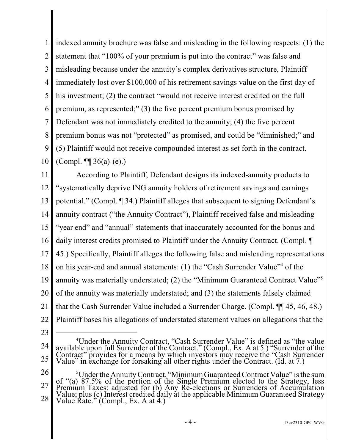1 2 3 4 5 6 7 8 9 10 indexed annuity brochure was false and misleading in the following respects: (1) the statement that "100% of your premium is put into the contract" was false and misleading because under the annuity's complex derivatives structure, Plaintiff immediately lost over \$100,000 of his retirement savings value on the first day of his investment; (2) the contract "would not receive interest credited on the full premium, as represented;" (3) the five percent premium bonus promised by Defendant was not immediately credited to the annuity; (4) the five percent premium bonus was not "protected" as promised, and could be "diminished;" and (5) Plaintiff would not receive compounded interest as set forth in the contract. (Compl.  $\P$ [ 36(a)-(e).)

11

12 13 14 15 16 17 18 19 20 21 22 According to Plaintiff, Defendant designs its indexed-annuity products to "systematically deprive ING annuity holders of retirement savings and earnings potential." (Compl. ¶ 34.) Plaintiff alleges that subsequent to signing Defendant's annuity contract ("the Annuity Contract"), Plaintiff received false and misleading "year end" and "annual" statements that inaccurately accounted for the bonus and daily interest credits promised to Plaintiff under the Annuity Contract. (Compl. ¶ 45.) Specifically, Plaintiff alleges the following false and misleading representations on his year-end and annual statements: (1) the "Cash Surrender Value"<sup>4</sup> of the annuity was materially understated; (2) the "Minimum Guaranteed Contract Value"<sup>5</sup> of the annuity was materially understated; and (3) the statements falsely claimed that the Cash Surrender Value included a Surrender Charge. (Compl. ¶¶ 45, 46, 48.) Plaintiff bases his allegations of understated statement values on allegations that the

<sup>24</sup> 25 <sup>4</sup>Under the Annuity Contract, "Cash Surrender Value" is defined as "the value available upon full Surrender of the Contract." (Compl., Ex. A at 5.) "Surrender of the Contract" provides for a means by which investors may receive the "Cash Surrender Value" in exchange for forsaking all other rights under the Contract. (Id. at 7.)

<sup>26</sup> 27 28 <sup>5</sup>Under the Annuity Contract, "Minimum Guaranteed Contract Value" is the sum of "(a) 87.5% of the portion of the Single Premium elected to the Strategy, less Premium Taxes; adjusted for (b) Any Re-elections or Surrenders of Accumulation Value; plus (c) Interest credited daily at the applicable Minimum Guaranteed Strategy Value Rate." (Compl., Ex. A at 4.)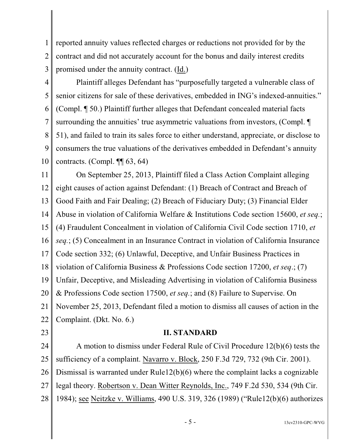1 2 3 reported annuity values reflected charges or reductions not provided for by the contract and did not accurately account for the bonus and daily interest credits promised under the annuity contract. (Id.)

4 5 6 7 8 9 10 Plaintiff alleges Defendant has "purposefully targeted a vulnerable class of senior citizens for sale of these derivatives, embedded in ING's indexed-annuities." (Compl. ¶ 50.) Plaintiff further alleges that Defendant concealed material facts surrounding the annuities' true asymmetric valuations from investors, (Compl.  $\P$ 51), and failed to train its sales force to either understand, appreciate, or disclose to consumers the true valuations of the derivatives embedded in Defendant's annuity contracts. (Compl.  $\P$ [63, 64)

11 12 13 14 15 16 17 18 19 20 21 22 On September 25, 2013, Plaintiff filed a Class Action Complaint alleging eight causes of action against Defendant: (1) Breach of Contract and Breach of Good Faith and Fair Dealing; (2) Breach of Fiduciary Duty; (3) Financial Elder Abuse in violation of California Welfare & Institutions Code section 15600, *et seq.*; (4) Fraudulent Concealment in violation of California Civil Code section 1710, *et seq.*; (5) Concealment in an Insurance Contract in violation of California Insurance Code section 332; (6) Unlawful, Deceptive, and Unfair Business Practices in violation of California Business & Professions Code section 17200, *et seq*.; (7) Unfair, Deceptive, and Misleading Advertising in violation of California Business & Professions Code section 17500, *et seq.*; and (8) Failure to Supervise. On November 25, 2013, Defendant filed a motion to dismiss all causes of action in the Complaint. (Dkt. No. 6.)

23

#### **II. STANDARD**

24 25 26 27 28 A motion to dismiss under Federal Rule of Civil Procedure 12(b)(6) tests the sufficiency of a complaint. Navarro v. Block, 250 F.3d 729, 732 (9th Cir. 2001). Dismissal is warranted under Rule12(b)(6) where the complaint lacks a cognizable legal theory. Robertson v. Dean Witter Reynolds, Inc., 749 F.2d 530, 534 (9th Cir. 1984); see Neitzke v. Williams, 490 U.S. 319, 326 (1989) ("Rule12(b)(6) authorizes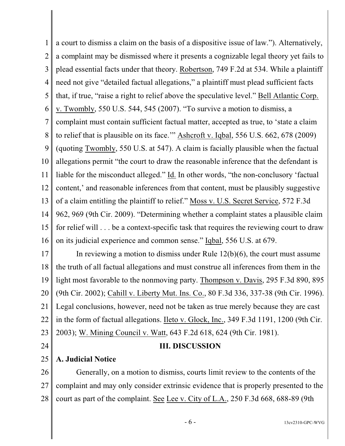1 2 3 4 5 6 7 8 9 10 11 12 13 14 a court to dismiss a claim on the basis of a dispositive issue of law."). Alternatively, a complaint may be dismissed where it presents a cognizable legal theory yet fails to plead essential facts under that theory. Robertson, 749 F.2d at 534. While a plaintiff need not give "detailed factual allegations," a plaintiff must plead sufficient facts that, if true, "raise a right to relief above the speculative level." Bell Atlantic Corp. v. Twombly, 550 U.S. 544, 545 (2007). "To survive a motion to dismiss, a complaint must contain sufficient factual matter, accepted as true, to 'state a claim to relief that is plausible on its face.'" Ashcroft v. Iqbal, 556 U.S. 662, 678 (2009) (quoting Twombly, 550 U.S. at 547). A claim is facially plausible when the factual allegations permit "the court to draw the reasonable inference that the defendant is liable for the misconduct alleged." Id. In other words, "the non-conclusory 'factual content,' and reasonable inferences from that content, must be plausibly suggestive of a claim entitling the plaintiff to relief." Moss v. U.S. Secret Service, 572 F.3d 962, 969 (9th Cir. 2009). "Determining whether a complaint states a plausible claim

15 16 for relief will . . . be a context-specific task that requires the reviewing court to draw on its judicial experience and common sense." Iqbal, 556 U.S. at 679.

17 18 19 20 21 22 23 In reviewing a motion to dismiss under Rule 12(b)(6), the court must assume the truth of all factual allegations and must construe all inferences from them in the light most favorable to the nonmoving party. Thompson v. Davis, 295 F.3d 890, 895 (9th Cir. 2002); Cahill v. Liberty Mut. Ins. Co., 80 F.3d 336, 337-38 (9th Cir. 1996). Legal conclusions, however, need not be taken as true merely because they are cast in the form of factual allegations. Ileto v. Glock, Inc., 349 F.3d 1191, 1200 (9th Cir. 2003); W. Mining Council v. Watt, 643 F.2d 618, 624 (9th Cir. 1981).

24

#### **III. DISCUSSION**

25 **A. Judicial Notice**

26 27 28 Generally, on a motion to dismiss, courts limit review to the contents of the complaint and may only consider extrinsic evidence that is properly presented to the court as part of the complaint. See Lee v. City of L.A., 250 F.3d 668, 688-89 (9th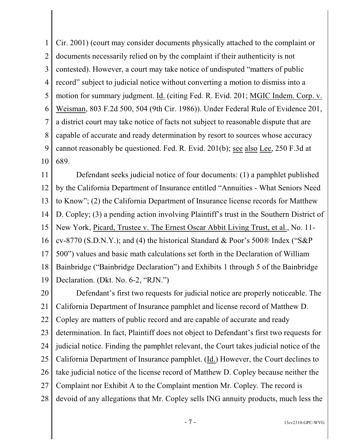1 2 3 4 5 6 7 8 9 10 Cir. 2001) (court may consider documents physically attached to the complaint or documents necessarily relied on by the complaint if their authenticity is not contested). However, a court may take notice of undisputed "matters of public record" subject to judicial notice without converting a motion to dismiss into a motion for summary judgment. Id. (citing Fed. R. Evid. 201; MGIC Indem. Corp. v. Weisman, 803 F.2d 500, 504 (9th Cir. 1986)). Under Federal Rule of Evidence 201, a district court may take notice of facts not subject to reasonable dispute that are capable of accurate and ready determination by resort to sources whose accuracy cannot reasonably be questioned. Fed. R. Evid. 201(b); see also Lee, 250 F.3d at 689.

11 12 13 14 15 16 17 18 19 Defendant seeks judicial notice of four documents: (1) a pamphlet published by the California Department of Insurance entitled "Annuities - What Seniors Need to Know"; (2) the California Department of Insurance license records for Matthew D. Copley; (3) a pending action involving Plaintiff's trust in the Southern District of New York, Picard, Trustee v. The Ernest Oscar Abbit Living Trust, et al., No. 11 cv-8770 (S.D.N.Y.); and (4) the historical Standard & Poor's 500® Index ("S&P 500") values and basic math calculations set forth in the Declaration of William Bainbridge ("Bainbridge Declaration") and Exhibits 1 through 5 of the Bainbridge Declaration. (Dkt. No. 6-2, "RJN.")

20 21 22 23 24 25 26 27 28 Defendant's first two requests for judicial notice are properly noticeable. The California Department of Insurance pamphlet and license record of Matthew D. Copley are matters of public record and are capable of accurate and ready determination. In fact, Plaintiff does not object to Defendant's first two requests for judicial notice. Finding the pamphlet relevant, the Court takes judicial notice of the California Department of Insurance pamphlet. (Id.) However, the Court declines to take judicial notice of the license record of Matthew D. Copley because neither the Complaint nor Exhibit A to the Complaint mention Mr. Copley. The record is devoid of any allegations that Mr. Copley sells ING annuity products, much less the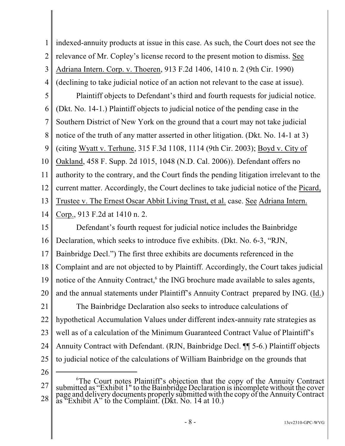1 2 3 indexed-annuity products at issue in this case. As such, the Court does not see the relevance of Mr. Copley's license record to the present motion to dismiss. See Adriana Intern. Corp. v. Thoeren, 913 F.2d 1406, 1410 n. 2 (9th Cir. 1990)

4 (declining to take judicial notice of an action not relevant to the case at issue).

5 6 7 8 9 10 11 12 13 14 Plaintiff objects to Defendant's third and fourth requests for judicial notice. (Dkt. No. 14-1.) Plaintiff objects to judicial notice of the pending case in the Southern District of New York on the ground that a court may not take judicial notice of the truth of any matter asserted in other litigation. (Dkt. No. 14-1 at 3) (citing Wyatt v. Terhune, 315 F.3d 1108, 1114 (9th Cir. 2003); Boyd v. City of Oakland, 458 F. Supp. 2d 1015, 1048 (N.D. Cal. 2006)). Defendant offers no authority to the contrary, and the Court finds the pending litigation irrelevant to the current matter. Accordingly, the Court declines to take judicial notice of the Picard, Trustee v. The Ernest Oscar Abbit Living Trust, et al. case. See Adriana Intern. Corp., 913 F.2d at 1410 n. 2.

15 16 17 18 19 20 21 22 23 24 25 Defendant's fourth request for judicial notice includes the Bainbridge Declaration, which seeks to introduce five exhibits. (Dkt. No. 6-3, "RJN, Bainbridge Decl.") The first three exhibits are documents referenced in the Complaint and are not objected to by Plaintiff. Accordingly, the Court takes judicial notice of the Annuity Contract,<sup>6</sup> the ING brochure made available to sales agents, and the annual statements under Plaintiff's Annuity Contract prepared by ING. (Id.) The Bainbridge Declaration also seeks to introduce calculations of hypothetical Accumulation Values under different index-annuity rate strategies as well as of a calculation of the Minimum Guaranteed Contract Value of Plaintiff's Annuity Contract with Defendant. (RJN, Bainbridge Decl. ¶¶ 5-6.) Plaintiff objects to judicial notice of the calculations of William Bainbridge on the grounds that

<sup>27</sup> 28 <sup>6</sup>The Court notes Plaintiff's objection that the copy of the Annuity Contract submitted as "Exhibit 1" to the Bainbridge Declaration isincomplete without the cover page and delivery documents properly submitted with the copy ofthe Annuity Contract as "Exhibit A" to the Complaint. (Dkt. No. 14 at 10.)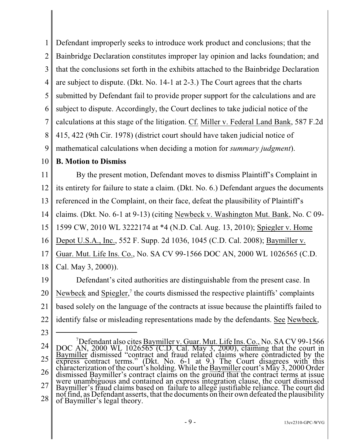1 2 3 4 5 6 7 8 9 10 11 12 13 14 15 16 17 18 19 20 21 22 23 24 Defendant improperly seeks to introduce work product and conclusions; that the Bainbridge Declaration constitutes improper lay opinion and lacks foundation; and that the conclusions set forth in the exhibits attached to the Bainbridge Declaration are subject to dispute. (Dkt. No. 14-1 at 2-3.) The Court agrees that the charts submitted by Defendant fail to provide proper support for the calculations and are subject to dispute. Accordingly, the Court declines to take judicial notice of the calculations at this stage of the litigation. Cf. Miller v. Federal Land Bank, 587 F.2d 415, 422 (9th Cir. 1978) (district court should have taken judicial notice of mathematical calculations when deciding a motion for *summary judgment*). **B. Motion to Dismiss** By the present motion, Defendant moves to dismiss Plaintiff's Complaint in its entirety for failure to state a claim. (Dkt. No. 6.) Defendant argues the documents referenced in the Complaint, on their face, defeat the plausibility of Plaintiff's claims. (Dkt. No. 6-1 at 9-13) (citing Newbeck v. Washington Mut. Bank, No. C 09- 1599 CW, 2010 WL 3222174 at \*4 (N.D. Cal. Aug. 13, 2010); Spiegler v. Home Depot U.S.A., Inc., 552 F. Supp. 2d 1036, 1045 (C.D. Cal. 2008); Baymiller v. Guar. Mut. Life Ins. Co., No. SA CV 99-1566 DOC AN, 2000 WL 1026565 (C.D. Cal. May 3, 2000)). Defendant's cited authorities are distinguishable from the present case. In Newbeck and Spiegler,<sup>7</sup> the courts dismissed the respective plaintiffs' complaints based solely on the language of the contracts at issue because the plaintiffs failed to identify false or misleading representations made by the defendants. See Newbeck, <sup>7</sup>Defendant also cites Baymiller v. Guar. Mut. Life Ins. Co., No. SA CV 99-1566

<sup>25</sup> 26 27 28 DOC AN, 2000 WL 1026565 (C.D. Cal. May 3, 2000), claiming that the court in Baymiller dismissed "contract and fraud related claims where contradicted by the express contract terms." (Dkt. No. 6-1 at 9.) The Court disagrees with this characterization of the court's holding. While the **Baymiller** court's May 3, 2000 Order dismissed Baymiller's contract claims on the ground that the contract terms at issue were unambiguous and contained an express integration clause, the court dismissed Baymiller's fraud claims based on failure to allege justifiable reliance. The court did not find, as Defendant asserts, that the documents on their own defeated the plausibility of Baymiller's legal theory.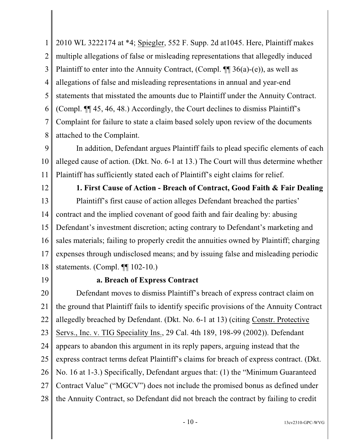1 2 3 4 5 6 7 8 2010 WL 3222174 at \*4; Spiegler, 552 F. Supp. 2d at1045. Here, Plaintiff makes multiple allegations of false or misleading representations that allegedly induced Plaintiff to enter into the Annuity Contract, (Compl.  $\P$   $\mathfrak{g}$  36(a)-(e)), as well as allegations of false and misleading representations in annual and year-end statements that misstated the amounts due to Plaintiff under the Annuity Contract. (Compl. ¶¶ 45, 46, 48.) Accordingly, the Court declines to dismiss Plaintiff's Complaint for failure to state a claim based solely upon review of the documents attached to the Complaint.

9 10 11 In addition, Defendant argues Plaintiff fails to plead specific elements of each alleged cause of action. (Dkt. No. 6-1 at 13.) The Court will thus determine whether Plaintiff has sufficiently stated each of Plaintiff's eight claims for relief.

12

13

14

15

16

17

18

**1. First Cause of Action - Breach of Contract, Good Faith & Fair Dealing** Plaintiff's first cause of action alleges Defendant breached the parties' contract and the implied covenant of good faith and fair dealing by: abusing Defendant's investment discretion; acting contrary to Defendant's marketing and sales materials; failing to properly credit the annuities owned by Plaintiff; charging expenses through undisclosed means; and by issuing false and misleading periodic statements. (Compl. ¶¶ 102-10.)

19

## **a. Breach of Express Contract**

20 21 22 23 24 25 26 27 28 Defendant moves to dismiss Plaintiff's breach of express contract claim on the ground that Plaintiff fails to identify specific provisions of the Annuity Contract allegedly breached by Defendant. (Dkt. No. 6-1 at 13) (citing Constr. Protective Servs., Inc. v. TIG Speciality Ins., 29 Cal. 4th 189, 198-99 (2002)). Defendant appears to abandon this argument in its reply papers, arguing instead that the express contract terms defeat Plaintiff's claims for breach of express contract. (Dkt. No. 16 at 1-3.) Specifically, Defendant argues that: (1) the "Minimum Guaranteed Contract Value" ("MGCV") does not include the promised bonus as defined under the Annuity Contract, so Defendant did not breach the contract by failing to credit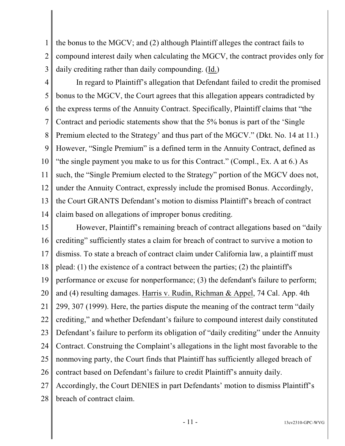1 2 3 the bonus to the MGCV; and (2) although Plaintiff alleges the contract fails to compound interest daily when calculating the MGCV, the contract provides only for daily crediting rather than daily compounding. (Id.)

4 5 6 7 8 9 10 11 12 13 14 In regard to Plaintiff's allegation that Defendant failed to credit the promised bonus to the MGCV, the Court agrees that this allegation appears contradicted by the express terms of the Annuity Contract. Specifically, Plaintiff claims that "the Contract and periodic statements show that the 5% bonus is part of the 'Single Premium elected to the Strategy' and thus part of the MGCV." (Dkt. No. 14 at 11.) However, "Single Premium" is a defined term in the Annuity Contract, defined as "the single payment you make to us for this Contract." (Compl., Ex. A at 6.) As such, the "Single Premium elected to the Strategy" portion of the MGCV does not, under the Annuity Contract, expressly include the promised Bonus. Accordingly, the Court GRANTS Defendant's motion to dismiss Plaintiff's breach of contract claim based on allegations of improper bonus crediting.

15 16 17 18 19 20 21 22 23 24 25 26 27 28 However, Plaintiff's remaining breach of contract allegations based on "daily crediting" sufficiently states a claim for breach of contract to survive a motion to dismiss. To state a breach of contract claim under California law, a plaintiff must plead: (1) the existence of a contract between the parties; (2) the plaintiff's performance or excuse for nonperformance; (3) the defendant's failure to perform; and (4) resulting damages. Harris v. Rudin, Richman & Appel, 74 Cal. App. 4th 299, 307 (1999). Here, the parties dispute the meaning of the contract term "daily crediting," and whether Defendant's failure to compound interest daily constituted Defendant's failure to perform its obligation of "daily crediting" under the Annuity Contract. Construing the Complaint's allegations in the light most favorable to the nonmoving party, the Court finds that Plaintiff has sufficiently alleged breach of contract based on Defendant's failure to credit Plaintiff's annuity daily. Accordingly, the Court DENIES in part Defendants' motion to dismiss Plaintiff's breach of contract claim.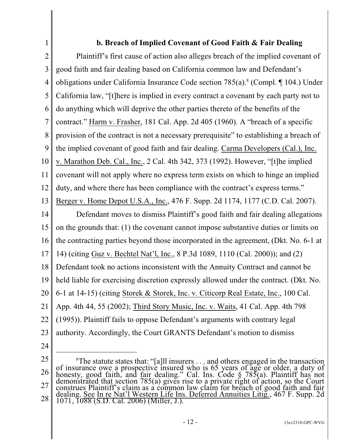# **b. Breach of Implied Covenant of Good Faith & Fair Dealing**

2 3 4 5 6 7 8 9 10 11 12 13 14 15 16 17 18 19 20 21 22 23 24 Plaintiff's first cause of action also alleges breach of the implied covenant of good faith and fair dealing based on California common law and Defendant's obligations under California Insurance Code section 785(a).<sup>8</sup> (Compl. 104.) Under California law, "[t]here is implied in every contract a covenant by each party not to do anything which will deprive the other parties thereto of the benefits of the contract." Harm v. Frasher, 181 Cal. App. 2d 405 (1960). A "breach of a specific provision of the contract is not a necessary prerequisite" to establishing a breach of the implied covenant of good faith and fair dealing. Carma Developers (Cal.), Inc. v. Marathon Deb. Cal., Inc., 2 Cal. 4th 342, 373 (1992). However, "[t]he implied covenant will not apply where no express term exists on which to hinge an implied duty, and where there has been compliance with the contract's express terms." Berger v. Home Depot U.S.A., Inc., 476 F. Supp. 2d 1174, 1177 (C.D. Cal. 2007). Defendant moves to dismiss Plaintiff's good faith and fair dealing allegations on the grounds that: (1) the covenant cannot impose substantive duties or limits on the contracting parties beyond those incorporated in the agreement, (Dkt. No. 6-1 at 14) (citing Guz v. Bechtel Nat'l, Inc., 8 P.3d 1089, 1110 (Cal. 2000)); and (2) Defendant took no actions inconsistent with the Annuity Contract and cannot be held liable for exercising discretion expressly allowed under the contract. (Dkt. No. 6-1 at 14-15) (citing Storek & Storek, Inc. v. Citicorp Real Estate, Inc., 100 Cal. App. 4th 44, 55 (2002); Third Story Music, Inc. v. Waits, 41 Cal. App. 4th 798 (1995)). Plaintiff fails to oppose Defendant's arguments with contrary legal authority. Accordingly, the Court GRANTS Defendant's motion to dismiss

25

<sup>26</sup> 27 28 <sup>8</sup>The statute states that: "[a]ll insurers  $\dots$  and others engaged in the transaction of insurance owe a prospective insured who is 65 years of age or older, a duty of honesty, good faith, and fair dealing." Cal. Ins. Code § 785(a). Plaintiff has not demonstrated that section 785(a) gives rise to a private right of action, so the Court construes Plaintiff's claim as a common law claim for breach of good faith and fair dealing. See In re Nat'l Western Life Ins. Deferred Annuities Litig., 467 F. Supp. 2d 1071, 1088 (S.D. Cal. 2006) (Miller, J.).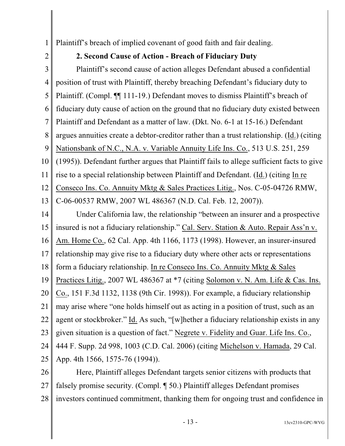1 Plaintiff's breach of implied covenant of good faith and fair dealing.

2

### **2. Second Cause of Action - Breach of Fiduciary Duty**

3 4 5 6 7 8 9 10 11 12 13 14 15 16 17 18 19 20 21 Plaintiff's second cause of action alleges Defendant abused a confidential position of trust with Plaintiff, thereby breaching Defendant's fiduciary duty to Plaintiff. (Compl. ¶¶ 111-19.) Defendant moves to dismiss Plaintiff's breach of fiduciary duty cause of action on the ground that no fiduciary duty existed between Plaintiff and Defendant as a matter of law. (Dkt. No. 6-1 at 15-16.) Defendant argues annuities create a debtor-creditor rather than a trust relationship. (Id.) (citing Nationsbank of N.C., N.A. v. Variable Annuity Life Ins. Co., 513 U.S. 251, 259 (1995)). Defendant further argues that Plaintiff fails to allege sufficient facts to give rise to a special relationship between Plaintiff and Defendant. (Id.) (citing In re Conseco Ins. Co. Annuity Mktg & Sales Practices Litig., Nos. C-05-04726 RMW, C-06-00537 RMW, 2007 WL 486367 (N.D. Cal. Feb. 12, 2007)). Under California law, the relationship "between an insurer and a prospective insured is not a fiduciary relationship." Cal. Serv. Station & Auto. Repair Ass'n v. Am. Home Co., 62 Cal. App. 4th 1166, 1173 (1998). However, an insurer-insured relationship may give rise to a fiduciary duty where other acts or representations form a fiduciary relationship. In re Conseco Ins. Co. Annuity Mktg & Sales Practices Litig., 2007 WL 486367 at \*7 (citing Solomon v. N. Am. Life & Cas. Ins. Co., 151 F.3d 1132, 1138 (9th Cir. 1998)). For example, a fiduciary relationship may arise where "one holds himself out as acting in a position of trust, such as an

22 agent or stockbroker." Id. As such, "[w]hether a fiduciary relationship exists in any

23 given situation is a question of fact." Negrete v. Fidelity and Guar. Life Ins. Co.,

24 25 444 F. Supp. 2d 998, 1003 (C.D. Cal. 2006) (citing Michelson v. Hamada, 29 Cal. App. 4th 1566, 1575-76 (1994)).

26 27 28 Here, Plaintiff alleges Defendant targets senior citizens with products that falsely promise security. (Compl. ¶ 50.) Plaintiff alleges Defendant promises investors continued commitment, thanking them for ongoing trust and confidence in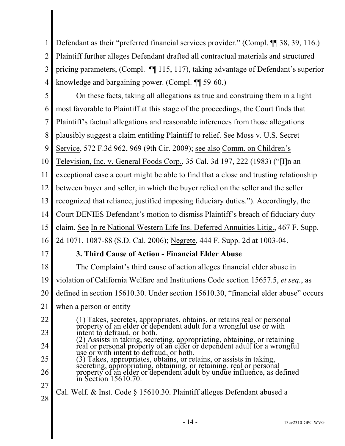1 2 3 4 Defendant as their "preferred financial services provider." (Compl. ¶¶ 38, 39, 116.) Plaintiff further alleges Defendant drafted all contractual materials and structured pricing parameters, (Compl. ¶¶ 115, 117), taking advantage of Defendant's superior knowledge and bargaining power. (Compl. ¶¶ 59-60.)

5 6 7 8 9 On these facts, taking all allegations as true and construing them in a light most favorable to Plaintiff at this stage of the proceedings, the Court finds that Plaintiff's factual allegations and reasonable inferences from those allegations plausibly suggest a claim entitling Plaintiff to relief. See Moss v. U.S. Secret Service, 572 F.3d 962, 969 (9th Cir. 2009); see also Comm. on Children's

10 Television, Inc. v. General Foods Corp., 35 Cal. 3d 197, 222 (1983) ("[I]n an

11 exceptional case a court might be able to find that a close and trusting relationship

12 between buyer and seller, in which the buyer relied on the seller and the seller

13 recognized that reliance, justified imposing fiduciary duties."). Accordingly, the

14 Court DENIES Defendant's motion to dismiss Plaintiff's breach of fiduciary duty

15 claim. See In re National Western Life Ins. Deferred Annuities Litig., 467 F. Supp.

16 2d 1071, 1087-88 (S.D. Cal. 2006); Negrete, 444 F. Supp. 2d at 1003-04.

17

# **3. Third Cause of Action - Financial Elder Abuse**

18 The Complaint's third cause of action alleges financial elder abuse in

19 violation of California Welfare and Institutions Code section 15657.5, *et seq.*, as

20 defined in section 15610.30. Under section 15610.30, "financial elder abuse" occurs

- 21 when a person or entity
- 22 23 (1) Takes, secretes, appropriates, obtains, or retains real or personal property of an elder or dependent adult for a wrongful use or with intent to defraud, or both.
- 24 (2) Assists in taking, secreting, appropriating, obtaining, or retaining real or personal property of an elder or dependent adult for a wrongful use or with intent to defraud, or both.
- 25 26 (3) Takes, appropriates, obtains, or retains, or assists in taking, secreting, appropriating, obtaining, or retaining, real or personal property of an elder or dependent adult by undue influence, as defined in Section 15610.70.
- 27 28 Cal. Welf. & Inst. Code § 15610.30. Plaintiff alleges Defendant abused a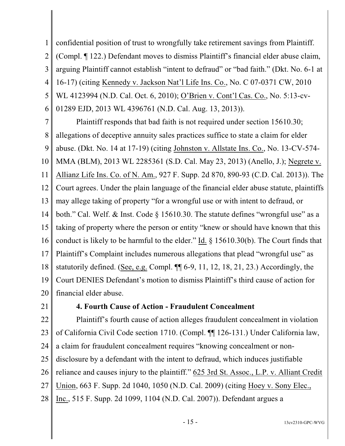1 2 3 4 5 6 confidential position of trust to wrongfully take retirement savings from Plaintiff. (Compl. ¶ 122.) Defendant moves to dismiss Plaintiff's financial elder abuse claim, arguing Plaintiff cannot establish "intent to defraud" or "bad faith." (Dkt. No. 6-1 at 16-17) (citing Kennedy v. Jackson Nat'l Life Ins. Co., No. C 07-0371 CW, 2010 WL 4123994 (N.D. Cal. Oct. 6, 2010); O'Brien v. Cont'l Cas. Co., No. 5:13-cv-01289 EJD, 2013 WL 4396761 (N.D. Cal. Aug. 13, 2013)).

7 8 9 10 11 12 13 14 15 16 17 18 19 20 Plaintiff responds that bad faith is not required under section 15610.30; allegations of deceptive annuity sales practices suffice to state a claim for elder abuse. (Dkt. No. 14 at 17-19) (citing Johnston v. Allstate Ins. Co., No. 13-CV-574- MMA (BLM), 2013 WL 2285361 (S.D. Cal. May 23, 2013) (Anello, J.); Negrete v. Allianz Life Ins. Co. of N. Am., 927 F. Supp. 2d 870, 890-93 (C.D. Cal. 2013)). The Court agrees. Under the plain language of the financial elder abuse statute, plaintiffs may allege taking of property "for a wrongful use or with intent to defraud, or both." Cal. Welf. & Inst. Code § 15610.30. The statute defines "wrongful use" as a taking of property where the person or entity "knew or should have known that this conduct is likely to be harmful to the elder." Id. § 15610.30(b). The Court finds that Plaintiff's Complaint includes numerous allegations that plead "wrongful use" as statutorily defined. (See, e.g. Compl. ¶¶ 6-9, 11, 12, 18, 21, 23.) Accordingly, the Court DENIES Defendant's motion to dismiss Plaintiff's third cause of action for financial elder abuse.

21

#### **4. Fourth Cause of Action - Fraudulent Concealment**

22 23 24 25 26 27 28 Plaintiff's fourth cause of action alleges fraudulent concealment in violation of California Civil Code section 1710. (Compl. ¶¶ 126-131.) Under California law, a claim for fraudulent concealment requires "knowing concealment or nondisclosure by a defendant with the intent to defraud, which induces justifiable reliance and causes injury to the plaintiff." 625 3rd St. Assoc., L.P. v. Alliant Credit Union, 663 F. Supp. 2d 1040, 1050 (N.D. Cal. 2009) (citing Hoey v. Sony Elec., Inc., 515 F. Supp. 2d 1099, 1104 (N.D. Cal. 2007)). Defendant argues a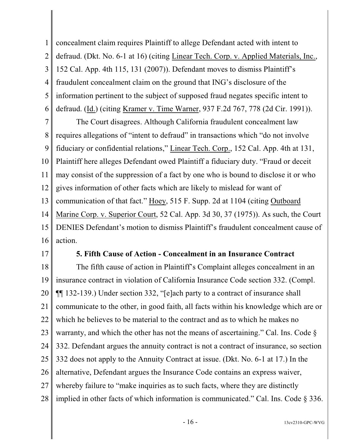1 2 3 4 5 6 concealment claim requires Plaintiff to allege Defendant acted with intent to defraud. (Dkt. No. 6-1 at 16) (citing Linear Tech. Corp. v. Applied Materials, Inc., 152 Cal. App. 4th 115, 131 (2007)). Defendant moves to dismiss Plaintiff's fraudulent concealment claim on the ground that ING's disclosure of the information pertinent to the subject of supposed fraud negates specific intent to defraud. (Id.) (citing Kramer v. Time Warner, 937 F.2d 767, 778 (2d Cir. 1991)).

7 8 9 10 11 12 13 14 15 16 The Court disagrees. Although California fraudulent concealment law requires allegations of "intent to defraud" in transactions which "do not involve fiduciary or confidential relations," Linear Tech. Corp., 152 Cal. App. 4th at 131, Plaintiff here alleges Defendant owed Plaintiff a fiduciary duty. "Fraud or deceit may consist of the suppression of a fact by one who is bound to disclose it or who gives information of other facts which are likely to mislead for want of communication of that fact." Hoey, 515 F. Supp. 2d at 1104 (citing Outboard Marine Corp. v. Superior Court, 52 Cal. App. 3d 30, 37 (1975)). As such, the Court DENIES Defendant's motion to dismiss Plaintiff's fraudulent concealment cause of action.

17

#### **5. Fifth Cause of Action - Concealment in an Insurance Contract**

18 19 20 21 22 23 24 25 26 27 28 The fifth cause of action in Plaintiff's Complaint alleges concealment in an insurance contract in violation of California Insurance Code section 332. (Compl. ¶¶ 132-139.) Under section 332, "[e]ach party to a contract of insurance shall communicate to the other, in good faith, all facts within his knowledge which are or which he believes to be material to the contract and as to which he makes no warranty, and which the other has not the means of ascertaining." Cal. Ins. Code § 332. Defendant argues the annuity contract is not a contract of insurance, so section 332 does not apply to the Annuity Contract at issue. (Dkt. No. 6-1 at 17.) In the alternative, Defendant argues the Insurance Code contains an express waiver, whereby failure to "make inquiries as to such facts, where they are distinctly implied in other facts of which information is communicated." Cal. Ins. Code § 336.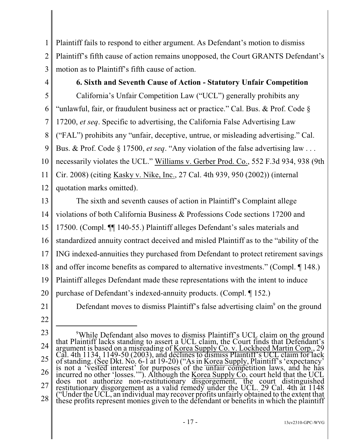1 2 3 Plaintiff fails to respond to either argument. As Defendant's motion to dismiss Plaintiff's fifth cause of action remains unopposed, the Court GRANTS Defendant's motion as to Plaintiff's fifth cause of action.

4 5 6 7 8 9 10 11 12 **6. Sixth and Seventh Cause of Action - Statutory Unfair Competition**  California's Unfair Competition Law ("UCL") generally prohibits any "unlawful, fair, or fraudulent business act or practice." Cal. Bus. & Prof. Code § 17200, *et seq*. Specific to advertising, the California False Advertising Law ("FAL") prohibits any "unfair, deceptive, untrue, or misleading advertising." Cal. Bus. & Prof. Code § 17500, *et seq*. "Any violation of the false advertising law . . . necessarily violates the UCL." Williams v. Gerber Prod. Co., 552 F.3d 934, 938 (9th Cir. 2008) (citing Kasky v. Nike, Inc., 27 Cal. 4th 939, 950 (2002)) (internal quotation marks omitted).

13 14 15 16 17 18 19 20 The sixth and seventh causes of action in Plaintiff's Complaint allege violations of both California Business & Professions Code sections 17200 and 17500. (Compl. ¶¶ 140-55.) Plaintiff alleges Defendant's sales materials and standardized annuity contract deceived and misled Plaintiff as to the "ability of the ING indexed-annuities they purchased from Defendant to protect retirement savings and offer income benefits as compared to alternative investments." (Compl. ¶ 148.) Plaintiff alleges Defendant made these representations with the intent to induce purchase of Defendant's indexed-annuity products. (Compl. ¶ 152.)

Defendant moves to dismiss Plaintiff's false advertising claim<sup>9</sup> on the ground

- 21
- 22

23 24 25 26 27 28 <sup>9</sup>While Defendant also moves to dismiss Plaintiff's UCL claim on the ground that Plaintiff lacks standing to assert a UCL claim, the Court finds that Defendant's argument is based on a misreading of Korea Supply Co. v. Lockheed Martin Corp., 29 Cal. 4th 1134, 1149-50 (2003), and declines to dismiss Plaintiff's UCL claim for lack of standing. (See Dkt. No. 6-1 at 19-20) ("As in Korea Supply, Plaintiff's 'expectancy' is not a 'vested interest' for purposes of the unfair competition laws, and he has incurred no other 'losses.'"). Although the <u>Korea Supply Co.</u> court held that the UCL does not authorize non-restitutionary disgorgement, the court distinguished restitutionary disgorgement as a valid remedy under the UCL. 29 Cal. 4th at 1148 ("Under the UCL, an individual may recover profits unfairly obtained to the extent that these profits represent monies given to the defendant or benefits in which the plaintiff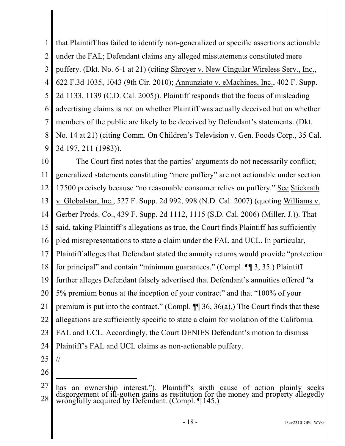1 2 3 4 5 6 7 8 9 that Plaintiff has failed to identify non-generalized or specific assertions actionable under the FAL; Defendant claims any alleged misstatements constituted mere puffery. (Dkt. No. 6-1 at 21) (citing Shroyer v. New Cingular Wireless Serv., Inc., 622 F.3d 1035, 1043 (9th Cir. 2010); Annunziato v. eMachines, Inc., 402 F. Supp. 2d 1133, 1139 (C.D. Cal. 2005)). Plaintiff responds that the focus of misleading advertising claims is not on whether Plaintiff was actually deceived but on whether members of the public are likely to be deceived by Defendant's statements. (Dkt. No. 14 at 21) (citing Comm. On Children's Television v. Gen. Foods Corp., 35 Cal. 3d 197, 211 (1983)).

10 11 12 13 14 15 16 17 18 19 20 21 22 23 24 The Court first notes that the parties' arguments do not necessarily conflict; generalized statements constituting "mere puffery" are not actionable under section 17500 precisely because "no reasonable consumer relies on puffery." See Stickrath v. Globalstar, Inc., 527 F. Supp. 2d 992, 998 (N.D. Cal. 2007) (quoting Williams v. Gerber Prods. Co., 439 F. Supp. 2d 1112, 1115 (S.D. Cal. 2006) (Miller, J.)). That said, taking Plaintiff's allegations as true, the Court finds Plaintiff has sufficiently pled misrepresentations to state a claim under the FAL and UCL. In particular, Plaintiff alleges that Defendant stated the annuity returns would provide "protection for principal" and contain "minimum guarantees." (Compl. ¶¶ 3, 35.) Plaintiff further alleges Defendant falsely advertised that Defendant's annuities offered "a 5% premium bonus at the inception of your contract" and that "100% of your premium is put into the contract." (Compl.  $\P$  36, 36(a).) The Court finds that these allegations are sufficiently specific to state a claim for violation of the California FAL and UCL. Accordingly, the Court DENIES Defendant's motion to dismiss Plaintiff's FAL and UCL claims as non-actionable puffery.

25

//

<sup>27</sup> 28 has an ownership interest."). Plaintiff's sixth cause of action plainly seeks disgorgement of ill-gotten gains as restitution for the money and property allegedly wrongfully acquired by Defendant. (Compl. ¶ 145.)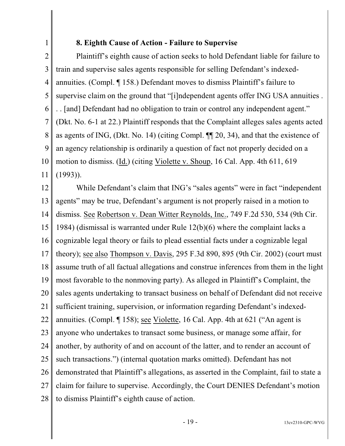## **8. Eighth Cause of Action - Failure to Supervise**

1

2 3 4 5 6 7 8 9 10 11 Plaintiff's eighth cause of action seeks to hold Defendant liable for failure to train and supervise sales agents responsible for selling Defendant's indexedannuities. (Compl. ¶ 158.) Defendant moves to dismiss Plaintiff's failure to supervise claim on the ground that "[i]ndependent agents offer ING USA annuities . . . [and] Defendant had no obligation to train or control any independent agent." (Dkt. No. 6-1 at 22.) Plaintiff responds that the Complaint alleges sales agents acted as agents of ING, (Dkt. No. 14) (citing Compl. ¶¶ 20, 34), and that the existence of an agency relationship is ordinarily a question of fact not properly decided on a motion to dismiss. (Id.) (citing Violette v. Shoup, 16 Cal. App. 4th 611, 619 (1993)).

12 13 14 15 16 17 18 19 20 21 22 23 24 25 26 27 28 While Defendant's claim that ING's "sales agents" were in fact "independent" agents" may be true, Defendant's argument is not properly raised in a motion to dismiss. See Robertson v. Dean Witter Reynolds, Inc., 749 F.2d 530, 534 (9th Cir. 1984) (dismissal is warranted under Rule 12(b)(6) where the complaint lacks a cognizable legal theory or fails to plead essential facts under a cognizable legal theory); see also Thompson v. Davis, 295 F.3d 890, 895 (9th Cir. 2002) (court must assume truth of all factual allegations and construe inferences from them in the light most favorable to the nonmoving party). As alleged in Plaintiff's Complaint, the sales agents undertaking to transact business on behalf of Defendant did not receive sufficient training, supervision, or information regarding Defendant's indexedannuities. (Compl. ¶ 158); see Violette, 16 Cal. App. 4th at 621 ("An agent is anyone who undertakes to transact some business, or manage some affair, for another, by authority of and on account of the latter, and to render an account of such transactions.") (internal quotation marks omitted). Defendant has not demonstrated that Plaintiff's allegations, as asserted in the Complaint, fail to state a claim for failure to supervise. Accordingly, the Court DENIES Defendant's motion to dismiss Plaintiff's eighth cause of action.